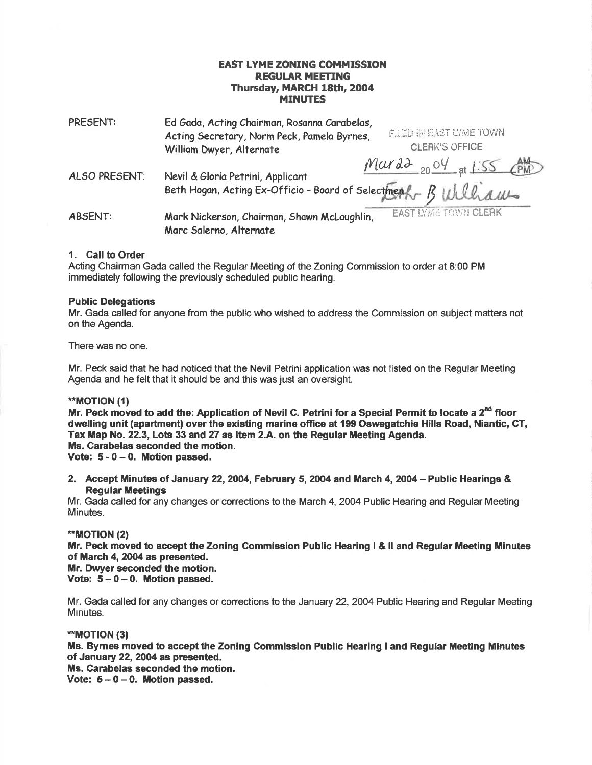# EAST LYME ZONING COMMISSION **REGULAR MEETING** Thursday, MARCH 18th, 2004 **MINUTES**

| PRESENT:       | Ed Gada, Acting Chairman, Rosanna Carabelas,<br>FILED IN EAST LYME TOWN<br>Acting Secretary, Norm Peck, Pamela Byrnes,                                                             |
|----------------|------------------------------------------------------------------------------------------------------------------------------------------------------------------------------------|
|                | <b>CLERK'S OFFICE</b><br>William Dwyer, Alternate                                                                                                                                  |
| ALSO PRESENT:  | $Mard^2$ 20 <sup>o</sup> at 1.55 $AM$<br>Nevil & Gloria Petrini, Applicant<br>Nevil & Gioria retrini, Applicant<br>Beth Hogan, Acting Ex-Officio - Board of Selectment - B William |
| <b>ABSENT:</b> | <b>EAST LYME TOWN CLERK</b><br>Mark Nickerson, Chairman, Shawn McLaughlin,<br>Marc Salerno, Alternate                                                                              |

# 1. Call to Order

Acting Chairman Gada called the Regular Meeting of the Zoning Commission to order at 8:00 PM immediately following the previously scheduled public hearing.

#### Public Delegations

Mr. Gada called for anyone from the public who wished to address the Commission on subject matters not on the Agenda.

There was no one.

Mr. Peck said that he had noticed that the Nevil Petrini application was not listed on the Regular Meeting Agenda and he felt that it should be and this was just an oversight.

#### \*\*MOT|ON (1)

Mr. Peck moved to add the: Application of Nevil C. Petrini for a Special Permit to locate a  $2<sup>nd</sup>$  floor dwelling unit (apartment) over the existing marine office at 199 Oswegatchie Hills Road, Niantic, GT, Tax Map No. 22.3, Lots 33 and 27 as Item 2.A. on the Regular Meeting Agenda. Ms. Carabelas seconded the motion. Vote:  $5 - 0 - 0$ . Motion passed.

2. Accept Minutes of January 22, 2004, February 5, 2004 and March 4, 2004 - Public Hearings & **Regular Meetings** 

Mr. Gada called for any changes or corrections to the March 4,2OO4 Public Hearing and Regular Meeting Minutes.

## \*MOT|ON (2)

Mr. Peck moved to accept the Zoning Commission Public Hearing I & II and Regular Meeting Minutes of March 4, 2004 as presented.

Mr. Dwyer seconded the motion.

Vote:  $5 - 0 - 0$ . Motion passed.

Mr. Gada called for any changes or corrections to the January 22,2004 Public Hearing and Regular Meeting Minutes.

## "\*MOT|ON (3)

Ms. Byrnes moved to accept the Zoning Commission Public Hearing I and Regular Meeting Minutes of January 22, 2004 as presented.

Ms. Carabelas seconded the motion.

Vote:  $5 - 0 - 0$ . Motion passed.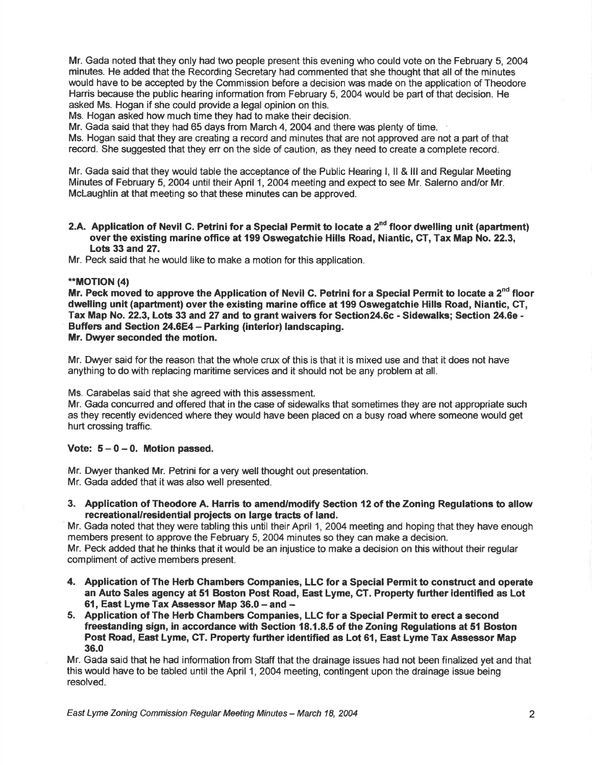Mr. Gada noted that they only had two people present this evening who could vote on the February 5,2004 minutes. He added that the Recording Secretary had commented that she thought that all of the minutes would have to be accepted by the Commission before a decision was made on the application of Theodore Harris because the public hearing information from February 5,2004 would be part of that decision. He asked Ms. Hogan if she could provide a legal opinion on this.

Ms. Hogan asked how much time they had to make their decision.

Mr. Gada said that they had 65 days from March 4, 2004 and there was plenty of time.

Ms. Hogan said that they are creating a record and minutes that are not approved are not a part of that record. She suggested that they err on the side of caution, as they need to create a complete record.

Mr. Gada said that they would table the acceptance of the Public Hearing l, ll & lll and Regular Meeting Minutes of February 5, 2004 until their April 1, 2004 meeting and expect to see Mr. Salerno and/or Mr. McLaughlin at that meeting so that these minutes can be approved.

2.A. Application of Nevil C. Petrini for a Special Permit to locate a  $2<sup>nd</sup>$  floor dwelling unit (apartment) over the existing marine office at 199 Oswegatchie Hills Road, Niantic, CT, Tax Map No. 22.3, Lots  $33$  and  $27$ .

Mr. Peck said that he would like to make a motion for this application.

## \*\*MOTION (4)

Mr. Peck moved to approve the Application of Nevil C. Petrini for a Special Permit to locate a  $2<sup>nd</sup>$  floor dwelling unit (apartment) over the existing marine office at 199 Oswegatchie Hills Road, Niantic, GT, Tax Map No. 22.3, Lots 33 and 27 and to grant waivers for Section24.6c - Sidewalks; Section 24.6e - Buffers and Section 24.6E4- Parking (interior) landscaping. Mr. Dwyer seconded the motion.

Mr. Dwyer said for the reason that the whole crux of this is that it is mixed use and that it does not have anything to do with replacing maritime services and it should not be any problem at all.

Ms. Carabelas said that she agreed with this assessment.

Mr. Gada concuned and offered that in the case of sidewalks that sometimes they are not appropriate such as they recently evidenced where they would have been placed on a busy road where someone would get hurt crossing traffic.

## Vote:  $5-0-0$ . Motion passed.

Mr. Dwyer thanked Mr. Petrini for a very well thought out presentation.

Mr. Gada added that it was also well presented.

3. Application of Theodore A. Harris to amend/modify Section {2 of the Zoning Regulations to allow recreational/residential projects on large tracts of land.

Mr. Gada noted that they were tabling this until their April 1, 2004 meeting and hoping that they have enough members present to approve the February 5, 2004 minutes so they can make a decision. Mr. Peck added that he thinks that it would be an injustice to make a decision on this without their regular compliment of active members present.

- 4. Application of The Herb Chambers Companies, LLC for a Special Permit to construct and operate an Auto Sales agency at 51 Boston Post Road, East Lyme, CT. Property further identified as Lot 61, East Lyme Tax Assessor Map  $36.0 -$  and  $-$
- 5. Application of The Herb Chambers Gompanies, LLG for a Special Permit to erect a second freestanding sign, in accordance with Section 18.1.8.5 of the Zoning Regulations at 51 Boston Post Road, East Lyme, CT. Property further identified as Lot 61, East Lyme Tax Assessor Map 36.0

Mr. Gada said that he had information from Staff that the drainage issues had not been finalized yet and that this would have to be tabled until the April 1, 2004 meeting, contingent upon the drainage issue being resolved.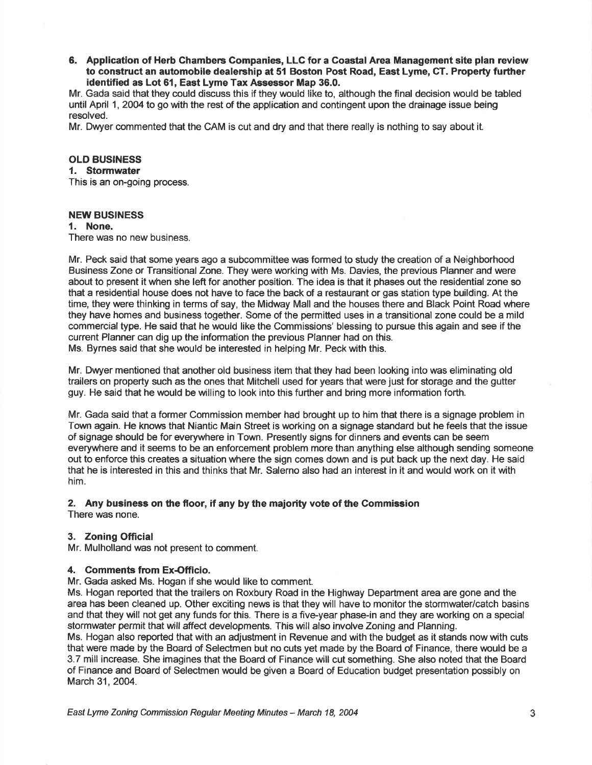6. Application of Herb Chambers Companies, LLC for a Coastal Area Management site plan review to construct an automobile dealership at 51 Boston Post Road, East Lyme, CT. Property further identified as Lot 61, East Lyme Tax Assessor Map 36.0.

Mr. Gada said that they could discuss this if they would like to, although the final decision would be tabled until April 1, 2004 to go with the rest of the application and contingent upon the drainage issue being resolved.

Mr. Dwyer commented that the CAM is cut and dry and that there really is nothing to say about it.

#### OLD BUSINESS

#### 1. Stormwater

This is an on-going process.

#### NEW BUSINESS

#### 1. None.

There was no new business.

Mr. Peck said that some years ago a subcommittee was formed to study the creation of a Neighborhood Business Zone or Transitional Zone. They were working with Ms. Davies, the previous Planner and were about to present it when she left for another position. The idea is that it phases out the residential zone so that a residential house does not have to face the back of a restaurant or gas station type building. At the time, they were thinking in terms of say, the Midway Mall and the houses there and Black Point Road where they have homes and business together. Some of the permitted uses in a transitional zone could be a mild commercial type. He said that he would like the Commissions' blessing to pursue this again and see if the current Planner can dig up the information the previous Planner had on this. Ms. Byrnes said that she would be interested in helping Mr. Peck with this.

Mr. Dwyer mentioned that another old business item that they had been looking into was eliminating old trailers on property such as the ones that Mitchell used for years that were just for storage and the gutter guy. He said that he would be willing to look into this further and bring more information forth.

Mr. Gada said that a former Commission member had brought up to him that there is a signage problem in Town again. He knows that Niantic Main Street is working on a signage standard but he feels that the issue of signage should be for everywhere in Town. Presently signs for dinners and events can be seem everywhere and it seems to be an enforcement problem more than anything else although sending someone out to enforce this creates a situation where the sign comes down and is put back up the next day. He said that he is interested in this and thinks that Mr. Salerno also had an interest in it and would work on it with him.

#### 2, Any business on fie floor, if any by the majority vote of the Gommission

There was none.

## 3. Zoning Official

Mr. Mulholland was not present to comment.

#### 4. Comments from Ex-Officio.

Mr. Gada asked Ms. Hogan if she would like to comment.

Ms. Hogan reported that the trailers on Roxbury Road in the Highway Department area are gone and the area has been cleaned up. Other exciting news is that they will have to monitor the stormwater/catch basins and that they will not get any funds for this. There is a five-year phase-in and they are working on a special stormwater permit that will affect developments. This will also involve Zoning and Planning.

Ms. Hogan also reported that with an adjustment in Revenue and with the budget as it stands nowwith cuts that were made by the Board of Selectmen but no cuts yet made by the Board of Finance, there would be a 3.7 mill increase. She imagines that the Board of Finance will cut something. She also noted that the Board of Finance and Board of Selectmen would be given a Board of Education budget presentation possibly on March 31, 2004.